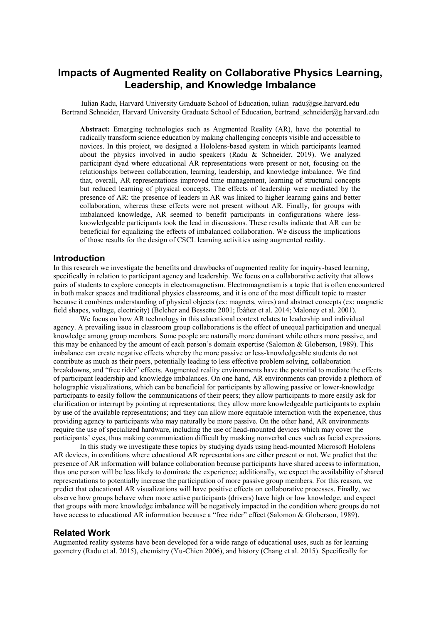# **Impacts of Augmented Reality on Collaborative Physics Learning, Leadership, and Knowledge Imbalance**

Iulian Radu, Harvard University Graduate School of Education, iulian\_radu@gse.harvard.edu Bertrand Schneider, Harvard University Graduate School of Education, bertrand schneider@g.harvard.edu

**Abstract:** Emerging technologies such as Augmented Reality (AR), have the potential to radically transform science education by making challenging concepts visible and accessible to novices. In this project, we designed a Hololens-based system in which participants learned about the physics involved in audio speakers (Radu & Schneider, 2019). We analyzed participant dyad where educational AR representations were present or not, focusing on the relationships between collaboration, learning, leadership, and knowledge imbalance. We find that, overall, AR representations improved time management, learning of structural concepts but reduced learning of physical concepts. The effects of leadership were mediated by the presence of AR: the presence of leaders in AR was linked to higher learning gains and better collaboration, whereas these effects were not present without AR. Finally, for groups with imbalanced knowledge, AR seemed to benefit participants in configurations where lessknowledgeable participants took the lead in discussions. These results indicate that AR can be beneficial for equalizing the effects of imbalanced collaboration. We discuss the implications of those results for the design of CSCL learning activities using augmented reality.

#### **Introduction**

In this research we investigate the benefits and drawbacks of augmented reality for inquiry-based learning, specifically in relation to participant agency and leadership. We focus on a collaborative activity that allows pairs of students to explore concepts in electromagnetism. Electromagnetism is a topic that is often encountered in both maker spaces and traditional physics classrooms, and it is one of the most difficult topic to master because it combines understanding of physical objects (ex: magnets, wires) and abstract concepts (ex: magnetic field shapes, voltage, electricity) (Belcher and Bessette 2001; Ibáñez et al. 2014; Maloney et al. 2001).

We focus on how AR technology in this educational context relates to leadership and individual agency. A prevailing issue in classroom group collaborations is the effect of unequal participation and unequal knowledge among group members. Some people are naturally more dominant while others more passive, and this may be enhanced by the amount of each person's domain expertise (Salomon & Globerson, 1989). This imbalance can create negative effects whereby the more passive or less-knowledgeable students do not contribute as much as their peers, potentially leading to less effective problem solving, collaboration breakdowns, and "free rider" effects. Augmented reality environments have the potential to mediate the effects of participant leadership and knowledge imbalances. On one hand, AR environments can provide a plethora of holographic visualizations, which can be beneficial for participants by allowing passive or lower-knowledge participants to easily follow the communications of their peers; they allow participants to more easily ask for clarification or interrupt by pointing at representations; they allow more knowledgeable participants to explain by use of the available representations; and they can allow more equitable interaction with the experience, thus providing agency to participants who may naturally be more passive. On the other hand, AR environments require the use of specialized hardware, including the use of head-mounted devices which may cover the participants' eyes, thus making communication difficult by masking nonverbal cues such as facial expressions.

In this study we investigate these topics by studying dyads using head-mounted Microsoft Hololens AR devices, in conditions where educational AR representations are either present or not. We predict that the presence of AR information will balance collaboration because participants have shared access to information, thus one person will be less likely to dominate the experience; additionally, we expect the availability of shared representations to potentially increase the participation of more passive group members. For this reason, we predict that educational AR visualizations will have positive effects on collaborative processes. Finally, we observe how groups behave when more active participants (drivers) have high or low knowledge, and expect that groups with more knowledge imbalance will be negatively impacted in the condition where groups do not have access to educational AR information because a "free rider" effect (Salomon & Globerson, 1989).

#### **Related Work**

Augmented reality systems have been developed for a wide range of educational uses, such as for learning geometry (Radu et al. 2015), chemistry (Yu-Chien 2006), and history (Chang et al. 2015). Specifically for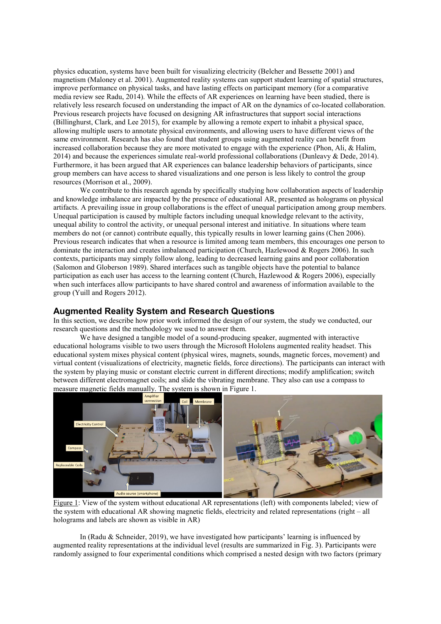physics education, systems have been built for visualizing electricity (Belcher and Bessette 2001) and magnetism (Maloney et al. 2001). Augmented reality systems can support student learning of spatial structures, improve performance on physical tasks, and have lasting effects on participant memory (for a comparative media review see Radu, 2014). While the effects of AR experiences on learning have been studied, there is relatively less research focused on understanding the impact of AR on the dynamics of co-located collaboration. Previous research projects have focused on designing AR infrastructures that support social interactions (Billinghurst, Clark, and Lee 2015), for example by allowing a remote expert to inhabit a physical space, allowing multiple users to annotate physical environments, and allowing users to have different views of the same environment. Research has also found that student groups using augmented reality can benefit from increased collaboration because they are more motivated to engage with the experience (Phon, Ali, & Halim, 2014) and because the experiences simulate real-world professional collaborations (Dunleavy & Dede, 2014). Furthermore, it has been argued that AR experiences can balance leadership behaviors of participants, since group members can have access to shared visualizations and one person is less likely to control the group resources (Morrison et al., 2009).

We contribute to this research agenda by specifically studying how collaboration aspects of leadership and knowledge imbalance are impacted by the presence of educational AR, presented as holograms on physical artifacts. A prevailing issue in group collaborations is the effect of unequal participation among group members. Unequal participation is caused by multiple factors including unequal knowledge relevant to the activity, unequal ability to control the activity, or unequal personal interest and initiative. In situations where team members do not (or cannot) contribute equally, this typically results in lower learning gains (Chen 2006). Previous research indicates that when a resource is limited among team members, this encourages one person to dominate the interaction and creates imbalanced participation (Church, Hazlewood & Rogers 2006). In such contexts, participants may simply follow along, leading to decreased learning gains and poor collaboration (Salomon and Globerson 1989). Shared interfaces such as tangible objects have the potential to balance participation as each user has access to the learning content (Church, Hazlewood & Rogers 2006), especially when such interfaces allow participants to have shared control and awareness of information available to the group (Yuill and Rogers 2012).

### **Augmented Reality System and Research Questions**

In this section, we describe how prior work informed the design of our system, the study we conducted, our research questions and the methodology we used to answer them.

We have designed a tangible model of a sound-producing speaker, augmented with interactive educational holograms visible to two users through the Microsoft Hololens augmented reality headset. This educational system mixes physical content (physical wires, magnets, sounds, magnetic forces, movement) and virtual content (visualizations of electricity, magnetic fields, force directions). The participants can interact with the system by playing music or constant electric current in different directions; modify amplification; switch between different electromagnet coils; and slide the vibrating membrane. They also can use a compass to measure magnetic fields manually. The system is shown in Figure 1.



Figure 1: View of the system without educational AR representations (left) with components labeled; view of the system with educational AR showing magnetic fields, electricity and related representations (right – all holograms and labels are shown as visible in AR)

In (Radu & Schneider, 2019), we have investigated how participants' learning is influenced by augmented reality representations at the individual level (results are summarized in Fig. 3). Participants were randomly assigned to four experimental conditions which comprised a nested design with two factors (primary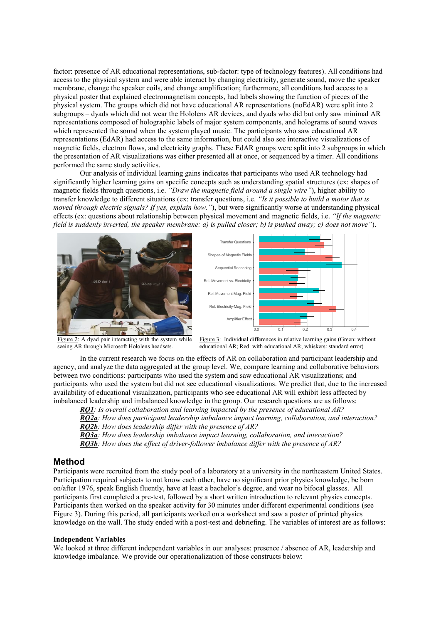factor: presence of AR educational representations, sub-factor: type of technology features). All conditions had access to the physical system and were able interact by changing electricity, generate sound, move the speaker membrane, change the speaker coils, and change amplification; furthermore, all conditions had access to a physical poster that explained electromagnetism concepts, had labels showing the function of pieces of the physical system. The groups which did not have educational AR representations (noEdAR) were split into 2 subgroups – dyads which did not wear the Hololens AR devices, and dyads who did but only saw minimal AR representations composed of holographic labels of major system components, and holograms of sound waves which represented the sound when the system played music. The participants who saw educational AR representations (EdAR) had access to the same information, but could also see interactive visualizations of magnetic fields, electron flows, and electricity graphs. These EdAR groups were split into 2 subgroups in which the presentation of AR visualizations was either presented all at once, or sequenced by a timer. All conditions performed the same study activities.

Our analysis of individual learning gains indicates that participants who used AR technology had significantly higher learning gains on specific concepts such as understanding spatial structures (ex: shapes of magnetic fields through questions, i.e. *"Draw the magnetic field around a single wire"*), higher ability to transfer knowledge to different situations (ex: transfer questions, i.e. *"Is it possible to build a motor that is moved through electric signals? If yes, explain how."*), but were significantly worse at understanding physical effects (ex: questions about relationship between physical movement and magnetic fields, i.e. *"If the magnetic field is suddenly inverted, the speaker membrane: a) is pulled closer; b) is pushed away; c) does not move"*).





Figure 2: A dyad pair interacting with the system while seeing AR through Microsoft Hololens headsets.



In the current research we focus on the effects of AR on collaboration and participant leadership and agency, and analyze the data aggregated at the group level. We, compare learning and collaborative behaviors between two conditions: participants who used the system and saw educational AR visualizations; and participants who used the system but did not see educational visualizations. We predict that, due to the increased availability of educational visualization, participants who see educational AR will exhibit less affected by imbalanced leadership and imbalanced knowledge in the group. Our research questions are as follows:

*RQ1: Is overall collaboration and learning impacted by the presence of educational AR?*

*RQ2a: How does participant leadership imbalance impact learning, collaboration, and interaction? RQ2b: How does leadership differ with the presence of AR?* 

*RQ3a: How does leadership imbalance impact learning, collaboration, and interaction?*

*RQ3b: How does the effect of driver-follower imbalance differ with the presence of AR?*

#### **Method**

Participants were recruited from the study pool of a laboratory at a university in the northeastern United States. Participation required subjects to not know each other, have no significant prior physics knowledge, be born on/after 1976, speak English fluently, have at least a bachelor's degree, and wear no bifocal glasses. All participants first completed a pre-test, followed by a short written introduction to relevant physics concepts. Participants then worked on the speaker activity for 30 minutes under different experimental conditions (see Figure 3). During this period, all participants worked on a worksheet and saw a poster of printed physics knowledge on the wall. The study ended with a post-test and debriefing. The variables of interest are as follows:

#### **Independent Variables**

We looked at three different independent variables in our analyses: presence / absence of AR, leadership and knowledge imbalance. We provide our operationalization of those constructs below: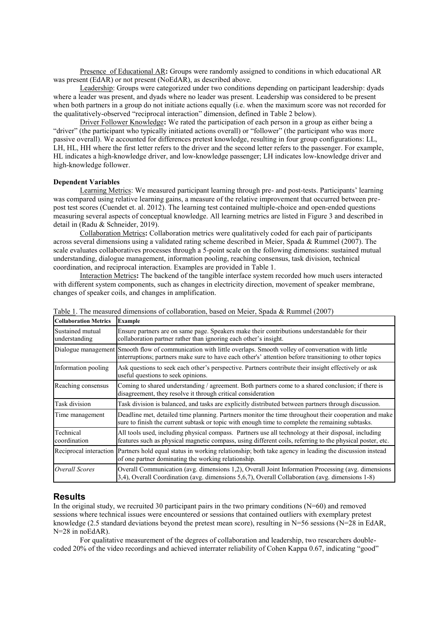Presence of Educational AR**:** Groups were randomly assigned to conditions in which educational AR was present (EdAR) or not present (NoEdAR), as described above.

Leadership: Groups were categorized under two conditions depending on participant leadership: dyads where a leader was present, and dyads where no leader was present. Leadership was considered to be present when both partners in a group do not initiate actions equally (i.e. when the maximum score was not recorded for the qualitatively-observed "reciprocal interaction" dimension, defined in Table 2 below).

Driver Follower Knowledge**:** We rated the participation of each person in a group as either being a "driver" (the participant who typically initiated actions overall) or "follower" (the participant who was more passive overall). We accounted for differences pretest knowledge, resulting in four group configurations: LL, LH, HL, HH where the first letter refers to the driver and the second letter refers to the passenger. For example, HL indicates a high-knowledge driver, and low-knowledge passenger; LH indicates low-knowledge driver and high-knowledge follower.

#### **Dependent Variables**

Learning Metrics: We measured participant learning through pre- and post-tests. Participants' learning was compared using relative learning gains, a measure of the relative improvement that occurred between prepost test scores (Cuendet et. al. 2012). The learning test contained multiple-choice and open-ended questions measuring several aspects of conceptual knowledge. All learning metrics are listed in Figure 3 and described in detail in (Radu & Schneider, 2019).

Collaboration Metrics**:** Collaboration metrics were qualitatively coded for each pair of participants across several dimensions using a validated rating scheme described in Meier, Spada & Rummel (2007). The scale evaluates collaboratives processes through a 5-point scale on the following dimensions: sustained mutual understanding, dialogue management, information pooling, reaching consensus, task division, technical coordination, and reciprocal interaction. Examples are provided in Table 1.

Interaction Metrics**:** The backend of the tangible interface system recorded how much users interacted with different system components, such as changes in electricity direction, movement of speaker membrane, changes of speaker coils, and changes in amplification.

| <b>Collaboration Metrics</b>      | <b>Example</b>                                                                                                                                                                                                             |
|-----------------------------------|----------------------------------------------------------------------------------------------------------------------------------------------------------------------------------------------------------------------------|
| Sustained mutual<br>understanding | Ensure partners are on same page. Speakers make their contributions understandable for their<br>collaboration partner rather than ignoring each other's insight.                                                           |
|                                   | Dialogue management Smooth flow of communication with little overlaps. Smooth volley of conversation with little<br>interruptions; partners make sure to have each other's' attention before transitioning to other topics |
| Information pooling               | Ask questions to seek each other's perspective. Partners contribute their insight effectively or ask<br>useful questions to seek opinions.                                                                                 |
| Reaching consensus                | Coming to shared understanding / agreement. Both partners come to a shared conclusion; if there is<br>disagreement, they resolve it through critical consideration                                                         |
| Task division                     | Task division is balanced, and tasks are explicitly distributed between partners through discussion.                                                                                                                       |
| Time management                   | Deadline met, detailed time planning. Partners monitor the time throughout their cooperation and make<br>sure to finish the current subtask or topic with enough time to complete the remaining subtasks.                  |
| Technical<br>coordination         | All tools used, including physical compass. Partners use all technology at their disposal, including<br>features such as physical magnetic compass, using different coils, referring to the physical poster, etc.          |
|                                   | Reciprocal interaction Partners hold equal status in working relationship; both take agency in leading the discussion instead<br>of one partner dominating the working relationship.                                       |
| Overall Scores                    | Overall Communication (avg. dimensions 1,2), Overall Joint Information Processing (avg. dimensions<br>3,4), Overall Coordination (avg. dimensions 5,6,7), Overall Collaboration (avg. dimensions 1-8)                      |

Table 1. The measured dimensions of collaboration, based on Meier, Spada & Rummel (2007)

#### **Results**

In the original study, we recruited 30 participant pairs in the two primary conditions  $(N=60)$  and removed sessions where technical issues were encountered or sessions that contained outliers with exemplary pretest knowledge (2.5 standard deviations beyond the pretest mean score), resulting in N=56 sessions (N=28 in EdAR, N=28 in noEdAR).

For qualitative measurement of the degrees of collaboration and leadership, two researchers doublecoded 20% of the video recordings and achieved interrater reliability of Cohen Kappa 0.67, indicating "good"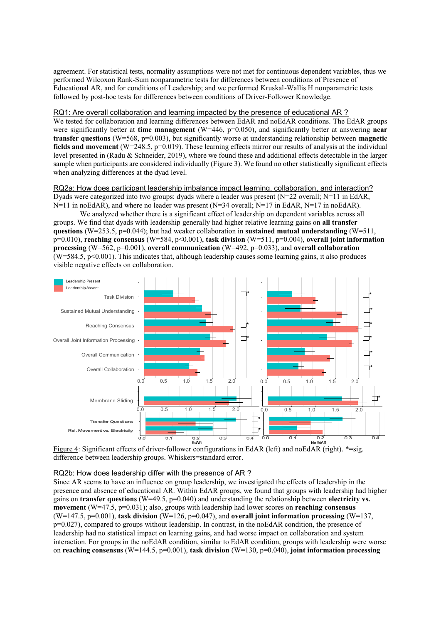agreement. For statistical tests, normality assumptions were not met for continuous dependent variables, thus we performed Wilcoxon Rank-Sum nonparametric tests for differences between conditions of Presence of Educational AR, and for conditions of Leadership; and we performed Kruskal-Wallis H nonparametric tests followed by post-hoc tests for differences between conditions of Driver-Follower Knowledge.

#### RQ1: Are overall collaboration and learning impacted by the presence of educational AR ?

We tested for collaboration and learning differences between EdAR and noEdAR conditions. The EdAR groups were significantly better at **time management** (W=446, p=0.050), and significantly better at answering **near transfer questions** (W=568, p=0.003), but significantly worse at understanding relationship between **magnetic fields and movement** (W=248.5, p=0.019). These learning effects mirror our results of analysis at the individual level presented in (Radu & Schneider, 2019), where we found these and additional effects detectable in the larger sample when participants are considered individually (Figure 3). We found no other statistically significant effects when analyzing differences at the dyad level.

#### RQ2a: How does participant leadership imbalance impact learning, collaboration, and interaction? Dyads were categorized into two groups: dyads where a leader was present (N=22 overall; N=11 in EdAR,  $N=11$  in noEdAR), and where no leader was present (N=34 overall; N=17 in EdAR, N=17 in noEdAR).

We analyzed whether there is a significant effect of leadership on dependent variables across all groups. We find that dyads with leadership generally had higher relative learning gains on **all transfer questions** (W=253.5, p=0.044); but had weaker collaboration in **sustained mutual understanding** (W=511, p=0.010), **reaching consensus** (W=584, p<0.001), **task division** (W=511, p=0.004), **overall joint information processing** (W=562, p=0.001), **overall communication** (W=492, p=0.033), and **overall collaboration**  $(W=584.5, p<0.001)$ . This indicates that, although leadership causes some learning gains, it also produces visible negative effects on collaboration.



Figure 4: Significant effects of driver-follower configurations in EdAR (left) and noEdAR (right). \*= sig. difference between leadership groups. Whiskers=standard error. 2

# RQ2b: How does leadership differ with the presence of AR?

Since AR seems to have an influence on group leadership, we investigated the effects of leadership in the presence and absence of educational AR. Within EdAR groups, we found that groups with leadership had higher gains on **transfer questions** (W=49.5, p=0.040) and understanding the relationship between **electricity vs. movement** (W=47.5, p=0.031); also, groups with leadership had lower scores on **reaching consensus** (W=147.5,  $p=0.001$ ), **task division** (W=126,  $p=0.047$ ), and **overall joint information processing** (W=137, p=0.027), compared to groups without leadership. In contrast, in the noEdAR condition, the presence of leadership had no statistical impact on learning gains, and had worse impact on collaboration and system interaction. For groups in the noEdAR condition, similar to EdAR condition, groups with leadership were worse on **reaching consensus** (W=144.5, p=0.001), **task division** (W=130, p=0.040), **joint information processing**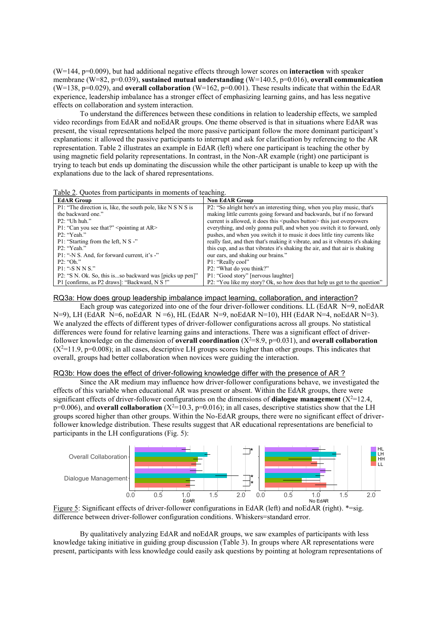(W=144, p=0.009), but had additional negative effects through lower scores on **interaction** with speaker membrane (W=82, p=0.039), **sustained mutual understanding** (W=140.5, p=0.016), **overall communication** (W=138, p=0.029), and **overall collaboration** (W=162, p=0.001). These results indicate that within the EdAR experience, leadership imbalance has a stronger effect of emphasizing learning gains, and has less negative effects on collaboration and system interaction.

To understand the differences between these conditions in relation to leadership effects, we sampled video recordings from EdAR and noEdAR groups. One theme observed is that in situations where EdAR was present, the visual representations helped the more passive participant follow the more dominant participant's explanations: it allowed the passive participants to interrupt and ask for clarification by referencing to the AR representation. Table 2 illustrates an example in EdAR (left) where one participant is teaching the other by using magnetic field polarity representations. In contrast, in the Non-AR example (right) one participant is trying to teach but ends up dominating the discussion while the other participant is unable to keep up with the explanations due to the lack of shared representations.

| Table 2. Quotes from participants in moments of teaching. |  |  |  |  |  |
|-----------------------------------------------------------|--|--|--|--|--|
|-----------------------------------------------------------|--|--|--|--|--|

| <b>EdAR Group</b>                                            | <b>Non EdAR Group</b>                                                             |
|--------------------------------------------------------------|-----------------------------------------------------------------------------------|
| P1: "The direction is, like, the south pole, like N S N S is | P2: "So alright here's an interesting thing, when you play music, that's          |
| the backward one."                                           | making little currents going forward and backwards, but if no forward             |
| $P2:$ "Uh huh."                                              | current is allowed, it does this <pushes button=""> this just overpowers</pushes> |
| P1: "Can you see that?" $\leq$ pointing at AR $>$            | everything, and only gonna pull, and when you switch it to forward, only          |
| P2: "Yeah."                                                  | pushes, and when you switch it to music it does little tiny currents like         |
| P1: "Starting from the left, N S -"                          | really fast, and then that's making it vibrate, and as it vibrates it's shaking   |
| P2: "Yeah."                                                  | this cup, and as that vibrates it's shaking the air, and that air is shaking      |
| P1: "-N S. And, for forward current, it's -"                 | our ears, and shaking our brains."                                                |
| $P2:$ "Oh."                                                  | P1: "Really cool"                                                                 |
| $P1: ``-SNNS."$                                              | P2: "What do you think?"                                                          |
| P2: "S N. Ok. So, this isso backward was [picks up pen]"     | P1: "Good story" [nervous laughter]                                               |
| P1 [confirms, as P2 draws]: "Backward, N S !"                | P2: "You like my story? Ok, so how does that help us get to the question"         |

RQ3a: How does group leadership imbalance impact learning, collaboration, and interaction?

Each group was categorized into one of the four driver-follower conditions. LL (EdAR N=9, noEdAR  $N=9$ ), LH (EdAR  $N=6$ , noEdAR  $N=6$ ), HL (EdAR  $N=9$ , noEdAR  $N=10$ ), HH (EdAR  $N=4$ , noEdAR  $N=3$ ). We analyzed the effects of different types of driver-follower configurations across all groups. No statistical differences were found for relative learning gains and interactions. There was a significant effect of driverfollower knowledge on the dimension of **overall coordination**  $(X^2=8.9, p=0.031)$ , and **overall collaboration**  $(X^2=11.9, p=0.008)$ ; in all cases, descriptive LH groups scores higher than other groups. This indicates that overall, groups had better collaboration when novices were guiding the interaction.

#### RQ3b: How does the effect of driver-following knowledge differ with the presence of AR ?

Since the AR medium may influence how driver-follower configurations behave, we investigated the effects of this variable when educational AR was present or absent. Within the EdAR groups, there were significant effects of driver-follower configurations on the dimensions of **dialogue management**  $(X^2=12.4,$  $p=0.006$ ), and **overall collaboration** (X<sup>2</sup>=10.3,  $p=0.016$ ); in all cases, descriptive statistics show that the LH groups scored higher than other groups. Within the No-EdAR groups, there were no significant effect of driver follower knowledge distribution. These results suggest that AR educational representations are beneficial to participants in the LH configurations (Fig. 5):





By qualitatively analyzing EdAR and noEdAR groups, we saw examples of participants with less knowledge taking initiative in guiding group discussion (Table 3). In groups where AR representations were present, participants with less knowledge could easily ask questions by pointing at hologram representations of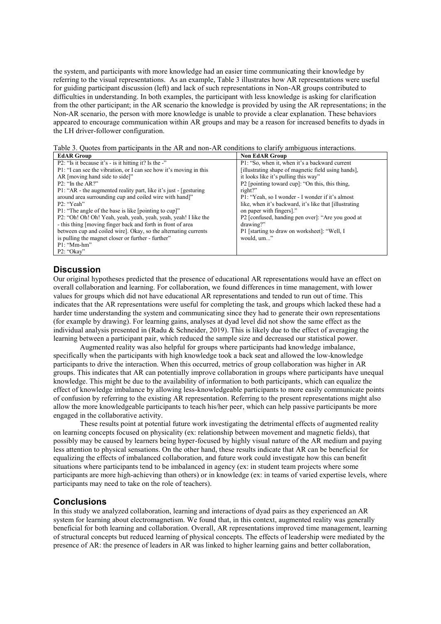the system, and participants with more knowledge had an easier time communicating their knowledge by referring to the visual representations. As an example, Table 3 illustrates how AR representations were useful for guiding participant discussion (left) and lack of such representations in Non-AR groups contributed to difficulties in understanding. In both examples, the participant with less knowledge is asking for clarification from the other participant; in the AR scenario the knowledge is provided by using the AR representations; in the Non-AR scenario, the person with more knowledge is unable to provide a clear explanation. These behaviors appeared to encourage communication within AR groups and may be a reason for increased benefits to dyads in the LH driver-follower configuration.

Table 3. Quotes from participants in the AR and non-AR conditions to clarify ambiguous interactions.

| <b>EdAR Group</b>                                                  | <b>Non EdAR Group</b>                                   |
|--------------------------------------------------------------------|---------------------------------------------------------|
| P2: "Is it because it's - is it hitting it? Is the -"              | P1: "So, when it, when it's a backward current          |
| P1: "I can see the vibration, or I can see how it's moving in this | [illustrating shape of magnetic field using hands].     |
| AR [moving hand side to side]"                                     | it looks like it's pulling this way"                    |
| $P2$ : "In the AR?"                                                | P2 [pointing toward cup]: "On this, this thing,         |
| P1: "AR - the augmented reality part, like it's just - [gesturing] | right?"                                                 |
| around area surrounding cup and coiled wire with hand]"            | P1: "Yeah, so I wonder - I wonder if it's almost        |
| P2: "Yeah"                                                         | like, when it's backward, it's like that [illustrating] |
| P1: "The angle of the base is like [pointing to cup]"              | on paper with fingers]."                                |
| P2: "Oh! Oh! Oh! Yeah, yeah, yeah, yeah, yeah, yeah! I like the    | P2 [confused, handing pen over]: "Are you good at       |
| - this thing [moving finger back and forth in front of area        | drawing?"                                               |
| between cup and coiled wire. Okay, so the alternating currents     | P1 [starting to draw on worksheet]: "Well, I            |
| is pulling the magnet closer or further - further"                 | would, um"                                              |
| $P1: "Mm-hm"$                                                      |                                                         |
| $P2:$ "Okav"                                                       |                                                         |

# **Discussion**

Our original hypotheses predicted that the presence of educational AR representations would have an effect on overall collaboration and learning. For collaboration, we found differences in time management, with lower values for groups which did not have educational AR representations and tended to run out of time. This indicates that the AR representations were useful for completing the task, and groups which lacked these had a harder time understanding the system and communicating since they had to generate their own representations (for example by drawing). For learning gains, analyses at dyad level did not show the same effect as the individual analysis presented in (Radu & Schneider, 2019). This is likely due to the effect of averaging the learning between a participant pair, which reduced the sample size and decreased our statistical power.

Augmented reality was also helpful for groups where participants had knowledge imbalance, specifically when the participants with high knowledge took a back seat and allowed the low-knowledge participants to drive the interaction. When this occurred, metrics of group collaboration was higher in AR groups. This indicates that AR can potentially improve collaboration in groups where participants have unequal knowledge. This might be due to the availability of information to both participants, which can equalize the effect of knowledge imbalance by allowing less-knowledgeable participants to more easily communicate points of confusion by referring to the existing AR representation. Referring to the present representations might also allow the more knowledgeable participants to teach his/her peer, which can help passive participants be more engaged in the collaborative activity.

These results point at potential future work investigating the detrimental effects of augmented reality on learning concepts focused on physicality (ex: relationship between movement and magnetic fields), that possibly may be caused by learners being hyper-focused by highly visual nature of the AR medium and paying less attention to physical sensations. On the other hand, these results indicate that AR can be beneficial for equalizing the effects of imbalanced collaboration, and future work could investigate how this can benefit situations where participants tend to be imbalanced in agency (ex: in student team projects where some participants are more high-achieving than others) or in knowledge (ex: in teams of varied expertise levels, where participants may need to take on the role of teachers).

# **Conclusions**

In this study we analyzed collaboration, learning and interactions of dyad pairs as they experienced an AR system for learning about electromagnetism. We found that, in this context, augmented reality was generally beneficial for both learning and collaboration. Overall, AR representations improved time management, learning of structural concepts but reduced learning of physical concepts. The effects of leadership were mediated by the presence of AR: the presence of leaders in AR was linked to higher learning gains and better collaboration,